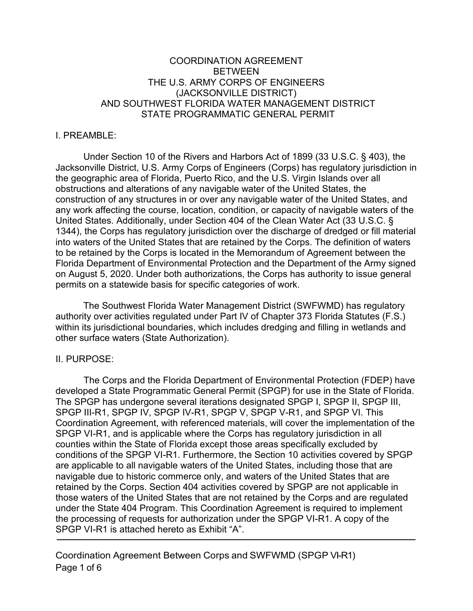## COORDINATION AGREEMENT **BETWEEN** THE U.S. ARMY CORPS OF ENGINEERS (JACKSONVILLE DISTRICT) AND SOUTHWEST FLORIDA WATER MANAGEMENT DISTRICT STATE PROGRAMMATIC GENERAL PERMIT

### I. PREAMBLE:

Under Section 10 of the Rivers and Harbors Act of 1899 (33 U.S.C. § 403), the Jacksonville District, U.S. Army Corps of Engineers (Corps) has regulatory jurisdiction in the geographic area of Florida, Puerto Rico, and the U.S. Virgin Islands over all obstructions and alterations of any navigable water of the United States, the construction of any structures in or over any navigable water of the United States, and any work affecting the course, location, condition, or capacity of navigable waters of the United States. Additionally, under Section 404 of the Clean Water Act (33 U.S.C. § 1344), the Corps has regulatory jurisdiction over the discharge of dredged or fill material into waters of the United States that are retained by the Corps. The definition of waters to be retained by the Corps is located in the Memorandum of Agreement between the Florida Department of Environmental Protection and the Department of the Army signed on August 5, 2020. Under both authorizations, the Corps has authority to issue general permits on a statewide basis for specific categories of work.

The Southwest Florida Water Management District (SWFWMD) has regulatory authority over activities regulated under Part IV of Chapter 373 Florida Statutes (F.S.) within its jurisdictional boundaries, which includes dredging and filling in wetlands and other surface waters (State Authorization).

#### II. PURPOSE:

The Corps and the Florida Department of Environmental Protection (FDEP) have developed a State Programmatic General Permit (SPGP) for use in the State of Florida. The SPGP has undergone several iterations designated SPGP I, SPGP II, SPGP III, SPGP III-R1, SPGP IV, SPGP IV-R1, SPGP V, SPGP V-R1, and SPGP VI. This Coordination Agreement, with referenced materials, will cover the implementation of the SPGP VI-R1, and is applicable where the Corps has regulatory jurisdiction in all counties within the State of Florida except those areas specifically excluded by conditions of the SPGP VI-R1. Furthermore, the Section 10 activities covered by SPGP are applicable to all navigable waters of the United States, including those that are navigable due to historic commerce only, and waters of the United States that are retained by the Corps. Section 404 activities covered by SPGP are not applicable in those waters of the United States that are not retained by the Corps and are regulated under the State 404 Program. This Coordination Agreement is required to implement the processing of requests for authorization under the SPGP VI-R1. A copy of the SPGP VI-R1 is attached hereto as Exhibit "A".

Coordination Agreement Between Corps and SWFWMD (SPGP VI-R1) Page 1 of 6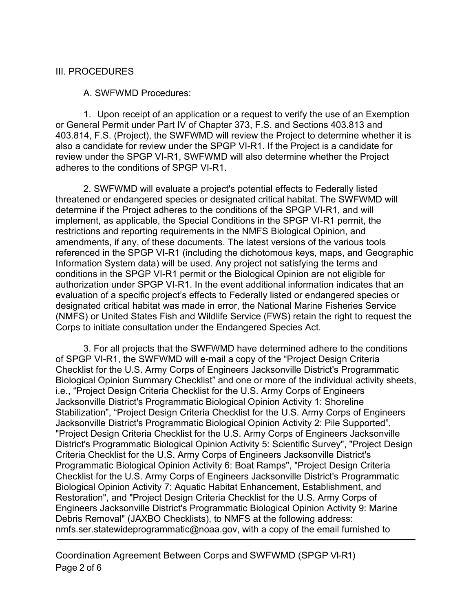## III. PROCEDURES

A. SWFWMD Procedures:

1. Upon receipt of an application or a request to verify the use of an Exemption or General Permit under Part IV of Chapter 373, F.S. and Sections 403.813 and 403.814, F.S. (Project), the SWFWMD will review the Project to determine whether it is also a candidate for review under the SPGP VI-R1. If the Project is a candidate for review under the SPGP VI-R1, SWFWMD will also determine whether the Project adheres to the conditions of SPGP VI-R1.

2. SWFWMD will evaluate a project's potential effects to Federally listed threatened or endangered species or designated critical habitat. The SWFWMD will determine if the Project adheres to the conditions of the SPGP VI-R1, and will implement, as applicable, the Special Conditions in the SPGP VI-R1 permit, the restrictions and reporting requirements in the NMFS Biological Opinion, and amendments, if any, of these documents. The latest versions of the various tools referenced in the SPGP VI-R1 (including the dichotomous keys, maps, and Geographic Information System data) will be used. Any project not satisfying the terms and conditions in the SPGP VI-R1 permit or the Biological Opinion are not eligible for authorization under SPGP VI-R1. In the event additional information indicates that an evaluation of a specific project's effects to Federally listed or endangered species or designated critical habitat was made in error, the National Marine Fisheries Service (NMFS) or United States Fish and Wildlife Service (FWS) retain the right to request the Corps to initiate consultation under the Endangered Species Act.

3. For all projects that the SWFWMD have determined adhere to the conditions of SPGP VI-R1, the SWFWMD will e-mail a copy of the "Project Design Criteria Checklist for the U.S. Army Corps of Engineers Jacksonville District's Programmatic Biological Opinion Summary Checklist" and one or more of the individual activity sheets, i.e., "Project Design Criteria Checklist for the U.S. Army Corps of Engineers Jacksonville District's Programmatic Biological Opinion Activity 1: Shoreline Stabilization", "Project Design Criteria Checklist for the U.S. Army Corps of Engineers Jacksonville District's Programmatic Biological Opinion Activity 2: Pile Supported", "Project Design Criteria Checklist for the U.S. Army Corps of Engineers Jacksonville District's Programmatic Biological Opinion Activity 5: Scientific Survey", "Project Design Criteria Checklist for the U.S. Army Corps of Engineers Jacksonville District's Programmatic Biological Opinion Activity 6: Boat Ramps", "Project Design Criteria Checklist for the U.S. Army Corps of Engineers Jacksonville District's Programmatic Biological Opinion Activity 7: Aquatic Habitat Enhancement, Establishment, and Restoration", and "Project Design Criteria Checklist for the U.S. Army Corps of Engineers Jacksonville District's Programmatic Biological Opinion Activity 9: Marine Debris Removal" (JAXBO Checklists), to NMFS at the following address: nmfs.ser.statewideprogrammatic@noaa.gov, with a copy of the email furnished to

Coordination Agreement Between Corps and SWFWMD (SPGP VI-R1) Page 2 of 6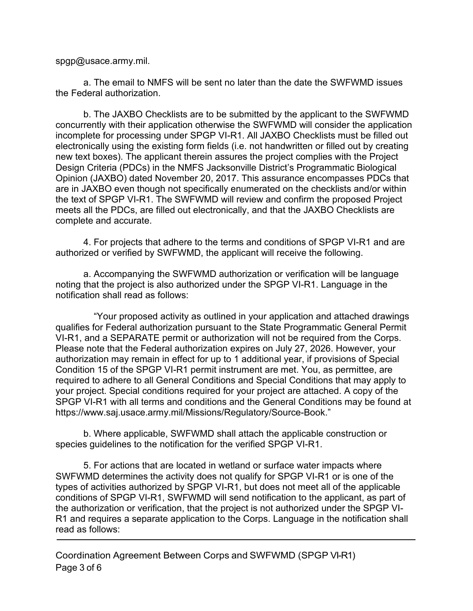spgp@usace.army.mil.

a. The email to NMFS will be sent no later than the date the SWFWMD issues the Federal authorization.

b. The JAXBO Checklists are to be submitted by the applicant to the SWFWMD concurrently with their application otherwise the SWFWMD will consider the application incomplete for processing under SPGP VI-R1. All JAXBO Checklists must be filled out electronically using the existing form fields (i.e. not handwritten or filled out by creating new text boxes). The applicant therein assures the project complies with the Project Design Criteria (PDCs) in the NMFS Jacksonville District's Programmatic Biological Opinion (JAXBO) dated November 20, 2017. This assurance encompasses PDCs that are in JAXBO even though not specifically enumerated on the checklists and/or within the text of SPGP VI-R1. The SWFWMD will review and confirm the proposed Project meets all the PDCs, are filled out electronically, and that the JAXBO Checklists are complete and accurate.

4. For projects that adhere to the terms and conditions of SPGP VI-R1 and are authorized or verified by SWFWMD, the applicant will receive the following.

a. Accompanying the SWFWMD authorization or verification will be language noting that the project is also authorized under the SPGP VI-R1. Language in the notification shall read as follows:

"Your proposed activity as outlined in your application and attached drawings qualifies for Federal authorization pursuant to the State Programmatic General Permit VI-R1, and a SEPARATE permit or authorization will not be required from the Corps. Please note that the Federal authorization expires on July 27, 2026. However, your authorization may remain in effect for up to 1 additional year, if provisions of Special Condition 15 of the SPGP VI-R1 permit instrument are met. You, as permittee, are required to adhere to all General Conditions and Special Conditions that may apply to your project. Special conditions required for your project are attached. A copy of the SPGP VI-R1 with all terms and conditions and the General Conditions may be found at [https://www.saj.usace.army.mil/Missions/Regulatory/Source-Book.](http://www.saj.usace.army.mil/Divisions/Regulatory/sourcebook.htm)"

b. Where applicable, SWFWMD shall attach the applicable construction or species guidelines to the notification for the verified SPGP VI-R1.

5. For actions that are located in wetland or surface water impacts where SWFWMD determines the activity does not qualify for SPGP VI-R1 or is one of the types of activities authorized by SPGP VI-R1, but does not meet all of the applicable conditions of SPGP VI-R1, SWFWMD will send notification to the applicant, as part of the authorization or verification, that the project is not authorized under the SPGP VI-R1 and requires a separate application to the Corps. Language in the notification shall read as follows: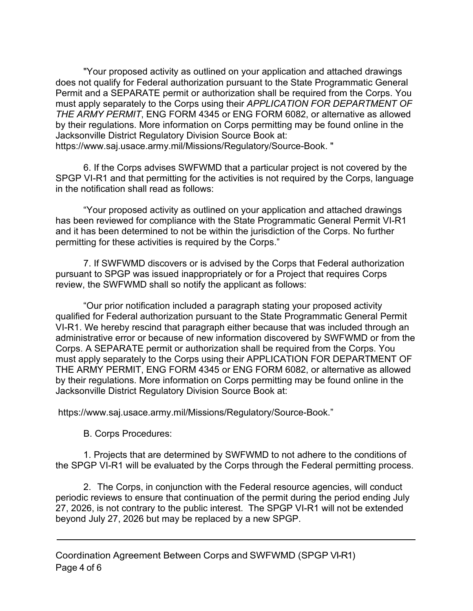"Your proposed activity as outlined on your application and attached drawings does not qualify for Federal authorization pursuant to the State Programmatic General Permit and a SEPARATE permit or authorization shall be required from the Corps. You must apply separately to the Corps using their *APPLICATION FOR DEPARTMENT OF THE ARMY PERMIT*, ENG FORM 4345 or ENG FORM 6082, or alternative as allowed by their regulations. More information on Corps permitting may be found online in the Jacksonville District Regulatory Division Source Book at: https://www.saj.usace.army.mil/Missions/Regulatory/Source-Book. "

6. If the Corps advises SWFWMD that a particular project is not covered by the SPGP VI-R1 and that permitting for the activities is not required by the Corps, language in the notification shall read as follows:

"Your proposed activity as outlined on your application and attached drawings has been reviewed for compliance with the State Programmatic General Permit VI-R1 and it has been determined to not be within the jurisdiction of the Corps. No further permitting for these activities is required by the Corps."

7. If SWFWMD discovers or is advised by the Corps that Federal authorization pursuant to SPGP was issued inappropriately or for a Project that requires Corps review, the SWFWMD shall so notify the applicant as follows:

"Our prior notification included a paragraph stating your proposed activity qualified for Federal authorization pursuant to the State Programmatic General Permit VI-R1. We hereby rescind that paragraph either because that was included through an administrative error or because of new information discovered by SWFWMD or from the Corps. A SEPARATE permit or authorization shall be required from the Corps. You must apply separately to the Corps using their APPLICATION FOR DEPARTMENT OF THE ARMY PERMIT, ENG FORM 4345 or ENG FORM 6082, or alternative as allowed by their regulations. More information on Corps permitting may be found online in the Jacksonville District Regulatory Division Source Book at:

https://www.saj.usace.army.mil/Missions/Regulatory/Source-Book."

B. Corps Procedures:

1. Projects that are determined by SWFWMD to not adhere to the conditions of the SPGP VI-R1 will be evaluated by the Corps through the Federal permitting process.

2. The Corps, in conjunction with the Federal resource agencies, will conduct periodic reviews to ensure that continuation of the permit during the period ending July 27, 2026, is not contrary to the public interest. The SPGP VI-R1 will not be extended beyond July 27, 2026 but may be replaced by a new SPGP.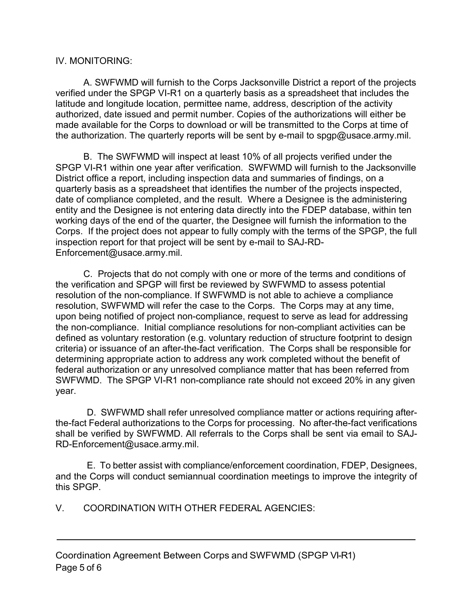# IV. MONITORING:

A. SWFWMD will furnish to the Corps Jacksonville District a report of the projects verified under the SPGP VI-R1 on a quarterly basis as a spreadsheet that includes the latitude and longitude location, permittee name, address, description of the activity authorized, date issued and permit number. Copies of the authorizations will either be made available for the Corps to download or will be transmitted to the Corps at time of the authorization. The quarterly reports will be sent by e-mail to spgp@usace.army.mil.

B. The SWFWMD will inspect at least 10% of all projects verified under the SPGP VI-R1 within one year after verification. SWFWMD will furnish to the Jacksonville District office a report, including inspection data and summaries of findings, on a quarterly basis as a spreadsheet that identifies the number of the projects inspected, date of compliance completed, and the result. Where a Designee is the administering entity and the Designee is not entering data directly into the FDEP database, within ten working days of the end of the quarter, the Designee will furnish the information to the Corps. If the project does not appear to fully comply with the terms of the SPGP, the full inspection report for that project will be sent by e-mail to SAJ-RD-Enforcement@usace.army.mil.

C. Projects that do not comply with one or more of the terms and conditions of the verification and SPGP will first be reviewed by SWFWMD to assess potential resolution of the non-compliance. If SWFWMD is not able to achieve a compliance resolution, SWFWMD will refer the case to the Corps. The Corps may at any time, upon being notified of project non-compliance, request to serve as lead for addressing the non-compliance. Initial compliance resolutions for non-compliant activities can be defined as voluntary restoration (e.g. voluntary reduction of structure footprint to design criteria) or issuance of an after-the-fact verification. The Corps shall be responsible for determining appropriate action to address any work completed without the benefit of federal authorization or any unresolved compliance matter that has been referred from SWFWMD. The SPGP VI-R1 non-compliance rate should not exceed 20% in any given year.

D. SWFWMD shall refer unresolved compliance matter or actions requiring afterthe-fact Federal authorizations to the Corps for processing. No after-the-fact verifications shall be verified by SWFWMD. All referrals to the Corps shall be sent via email to SAJ-RD-Enforcement@usace.army.mil.

E. To better assist with compliance/enforcement coordination, FDEP, Designees, and the Corps will conduct semiannual coordination meetings to improve the integrity of this SPGP.

V. COORDINATION WITH OTHER FEDERAL AGENCIES: